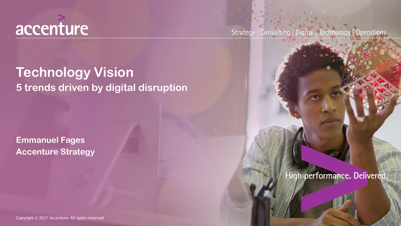

Strategy | Consulting | Digital | Technology | Operations

### **Technology Vision 5 trends driven by digital disruption**

**Emmanuel Fages Accenture Strategy**

High performance. Delivered.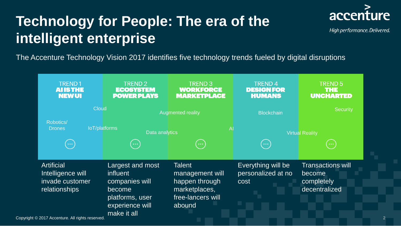# **Technology for People: The era of the intelligent enterprise**



High performance. Delivered.

2

The Accenture Technology Vision 2017 identifies five technology trends fueled by digital disruptions

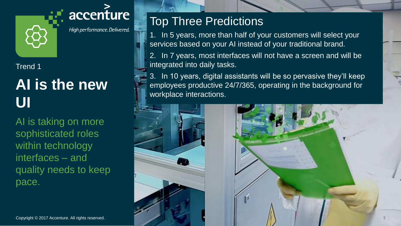

High performance. Delivered.

#### Trend 1

# **AI is the new UI**

AI is taking on more sophisticated roles within technology interfaces – and quality needs to keep pace.

### Top Three Predictions

1. In 5 years, more than half of your customers will select your services based on your AI instead of your traditional brand.

2. In 7 years, most interfaces will not have a screen and will be integrated into daily tasks.

3. In 10 years, digital assistants will be so pervasive they'll keep employees productive 24/7/365, operating in the background for workplace interactions.

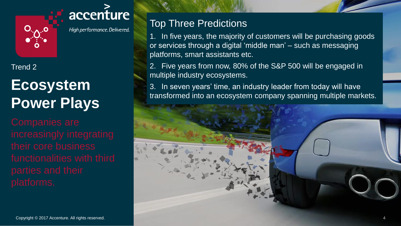

High performance. Delivered.

#### Trend 2

# **Ecosystem Power Plays**

### Top Three Predictions

1. In five years, the majority of customers will be purchasing goods or services through a digital 'middle man' – such as messaging platforms, smart assistants etc.

2. Five years from now, 80% of the S&P 500 will be engaged in multiple industry ecosystems.

3. In seven years' time, an industry leader from today will have transformed into an ecosystem company spanning multiple markets.

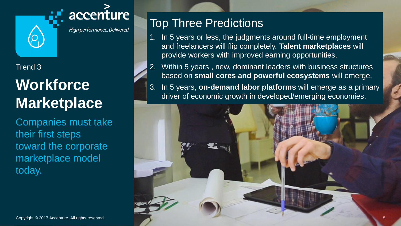

High performance. Delivered.

#### Trend 3

# **Workforce Marketplace**

Companies must take their first steps toward the corporate marketplace model today.

### Top Three Predictions

- 1. In 5 years or less, the judgments around full-time employment and freelancers will flip completely. **Talent marketplaces** will provide workers with improved earning opportunities.
- 2. Within 5 years , new, dominant leaders with business structures based on **small cores and powerful ecosystems** will emerge.
- 3. In 5 years, **on-demand labor platforms** will emerge as a primary driver of economic growth in developed/emerging economies.

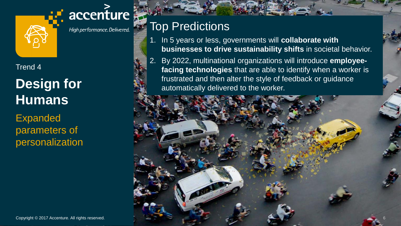

High performance. Delivered.

accenture

#### Trend 4

## **Design for Humans**

Expanded parameters of personalization

### Top Predictions

- 1. In 5 years or less, governments will **collaborate with businesses to drive sustainability shifts** in societal behavior.
- 2. By 2022, multinational organizations will introduce **employeefacing technologies** that are able to identify when a worker is frustrated and then alter the style of feedback or guidance automatically delivered to the worker.

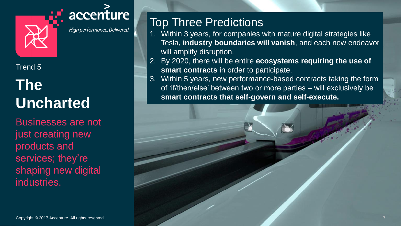

High performance. Delivered.

#### Trend 5

# **The Uncharted**

Businesses are not just creating new products and services; they're shaping new digital industries.

### Top Three Predictions

- 1. Within 3 years, for companies with mature digital strategies like Tesla, **industry boundaries will vanish**, and each new endeavor will amplify disruption.
- 2. By 2020, there will be entire **ecosystems requiring the use of smart contracts** in order to participate.
- 3. Within 5 years, new performance-based contracts taking the form of 'if/then/else' between two or more parties – will exclusively be **smart contracts that self-govern and self-execute.**

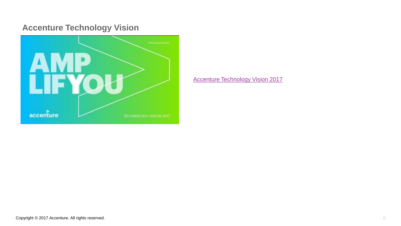#### **Accenture Technology Vision**



[Accenture Technology Vision 2017](https://www.accenture.com/us-en/insight-disruptive-technology-trends-2017)